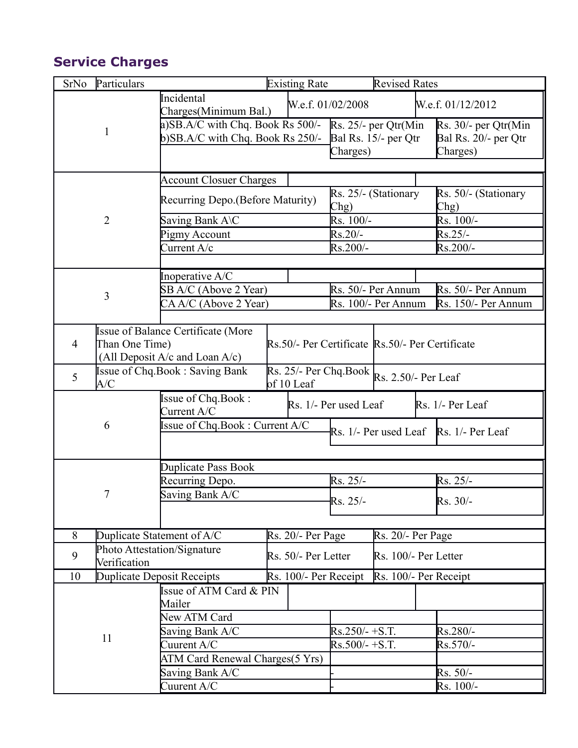## **Service Charges**

| SrNo           | Particulars    |                                                                                                  |  | <b>Existing Rate</b> |                              | <b>Revised Rates</b>    |                                                 |
|----------------|----------------|--------------------------------------------------------------------------------------------------|--|----------------------|------------------------------|-------------------------|-------------------------------------------------|
|                | $\mathbf{1}$   | Incidental<br>Charges(Minimum Bal.)                                                              |  |                      | W.e.f. 01/02/2008            |                         | W.e.f. 01/12/2012                               |
|                |                | a)SB.A/C with Chq. Book Rs 500/-                                                                 |  |                      |                              | $Rs. 25/-$ per Qtr(Min) | Rs. 30/- per Qtr(Min                            |
|                |                | $b)$ SB.A/C with Chq. Book Rs 250/-                                                              |  |                      |                              | Bal Rs. 15/- per Qtr    | Bal Rs. 20/- per Qtr                            |
|                |                |                                                                                                  |  |                      | Charges)                     |                         | Charges)                                        |
|                |                |                                                                                                  |  |                      |                              |                         |                                                 |
|                | $\overline{2}$ | <b>Account Closuer Charges</b>                                                                   |  |                      |                              |                         | Rs. 50/- (Stationary                            |
|                |                | Recurring Depo. (Before Maturity)                                                                |  |                      | Rs. 25/- (Stationary<br>Chg) |                         | Chg)                                            |
|                |                | Saving Bank A\C                                                                                  |  |                      | $Rs. 100/-$                  |                         | Rs. 100/-                                       |
|                |                | Pigmy Account                                                                                    |  |                      | $Rs.20/-$                    |                         | $Rs.25/-$                                       |
|                |                | Current $A/c$                                                                                    |  | Rs.200/-             |                              | $Rs.200/-$              |                                                 |
|                |                | Inoperative A/C                                                                                  |  |                      |                              |                         |                                                 |
|                | 3              | SB A/C (Above 2 Year)                                                                            |  |                      |                              | Rs. 50/- Per Annum      | Rs. 50/- Per Annum                              |
|                |                | CA A/C (Above 2 Year)                                                                            |  |                      | Rs. 100/- Per Annum          |                         | Rs. 150/- Per Annum                             |
|                |                |                                                                                                  |  |                      |                              |                         |                                                 |
|                |                | Issue of Balance Certificate (More                                                               |  |                      |                              |                         |                                                 |
| $\overline{4}$ | Than One Time) |                                                                                                  |  |                      |                              |                         | Rs.50/- Per Certificate Rs.50/- Per Certificate |
|                |                | (All Deposit A/c and Loan A/c)                                                                   |  |                      |                              |                         |                                                 |
| 5              | A/C            | <b>Issue of Chq.Book: Saving Bank</b><br>Rs. 25/- Per Chq.Book Rs. 2.50/- Per Leaf<br>of 10 Leaf |  |                      |                              |                         |                                                 |
|                |                | Issue of Chq.Book:<br>Current A/C                                                                |  |                      | Rs. 1/- Per used Leaf        |                         | Rs. 1/- Per Leaf                                |
|                | 6              | Issue of Chq.Book: Current A/C                                                                   |  |                      |                              | Rs. 1/- Per used Leaf   | Rs. 1/- Per Leaf                                |
|                |                |                                                                                                  |  |                      |                              |                         |                                                 |
|                |                | Duplicate Pass Book                                                                              |  |                      |                              |                         |                                                 |
|                |                | Recurring Depo.                                                                                  |  |                      | Rs. 25/-                     |                         | Rs. 25/-                                        |
|                | 7              | Saving Bank A/C                                                                                  |  |                      |                              |                         |                                                 |
|                |                |                                                                                                  |  |                      | Rs. 25/-                     |                         | Rs. 30/-                                        |
|                |                |                                                                                                  |  |                      |                              |                         |                                                 |
| 8              |                | Duplicate Statement of A/C                                                                       |  | Rs. 20/- Per Page    |                              | Rs. 20/- Per Page       |                                                 |
| 9              | Verification   | Photo Attestation/Signature<br>Rs. 50/- Per Letter                                               |  | Rs. 100/- Per Letter |                              |                         |                                                 |
| 10             |                | Duplicate Deposit Receipts                                                                       |  |                      | Rs. 100/- Per Receipt        |                         | Rs. 100/- Per Receipt                           |
|                | 11             | Issue of ATM Card & PIN                                                                          |  |                      |                              |                         |                                                 |
|                |                | Mailer                                                                                           |  |                      |                              |                         |                                                 |
|                |                | New ATM Card                                                                                     |  |                      |                              |                         |                                                 |
|                |                | Saving Bank A/C                                                                                  |  |                      | $Rs.250/- + S.T.$            |                         | Rs.280/-                                        |
|                |                | Cuurent $A/C$                                                                                    |  |                      | $Rs.500/- + S.T.$            |                         | Rs.570/-                                        |
|                |                | ATM Card Renewal Charges(5 Yrs)                                                                  |  |                      |                              |                         |                                                 |
|                |                | Saving Bank A/C                                                                                  |  |                      |                              | $Rs. 50/-$              |                                                 |
|                |                | Cuurent A/C                                                                                      |  |                      |                              | Rs. 100/-               |                                                 |